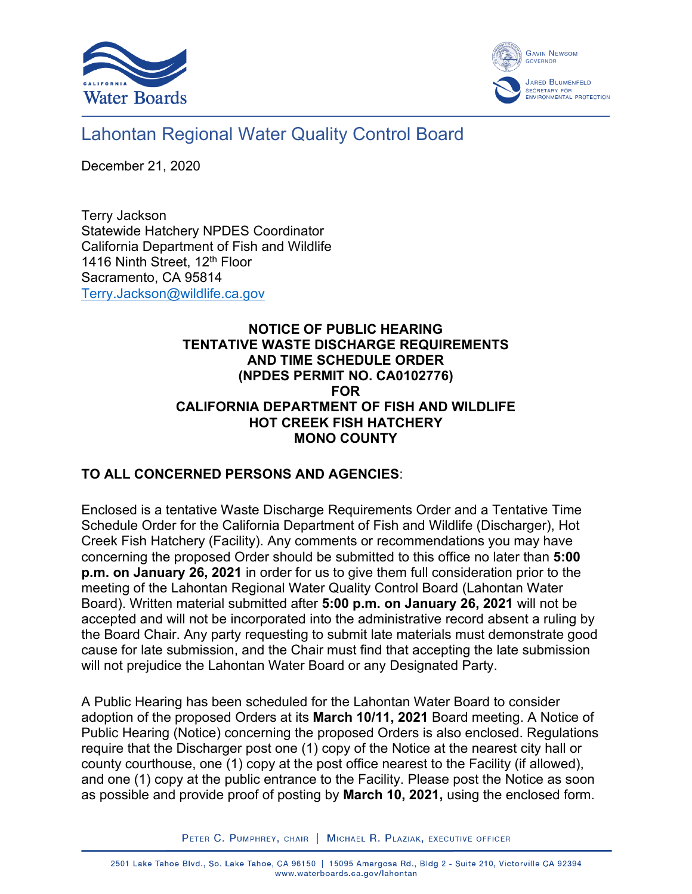



## Lahontan Regional Water Quality Control Board

December 21, 2020

Terry Jackson Statewide Hatchery NPDES Coordinator California Department of Fish and Wildlife 1416 Ninth Street, 12<sup>th</sup> Floor Sacramento, CA 95814 [Terry.Jackson@wildlife.ca.gov](mailto:Terry.Jackson@wildlife.ca.gov)

## **NOTICE OF PUBLIC HEARING TENTATIVE WASTE DISCHARGE REQUIREMENTS AND TIME SCHEDULE ORDER (NPDES PERMIT NO. CA0102776) FOR CALIFORNIA DEPARTMENT OF FISH AND WILDLIFE HOT CREEK FISH HATCHERY MONO COUNTY**

## **TO ALL CONCERNED PERSONS AND AGENCIES**:

Enclosed is a tentative Waste Discharge Requirements Order and a Tentative Time Schedule Order for the California Department of Fish and Wildlife (Discharger), Hot Creek Fish Hatchery (Facility). Any comments or recommendations you may have concerning the proposed Order should be submitted to this office no later than **5:00 p.m. on January 26, 2021** in order for us to give them full consideration prior to the meeting of the Lahontan Regional Water Quality Control Board (Lahontan Water Board). Written material submitted after **5:00 p.m. on January 26, 2021** will not be accepted and will not be incorporated into the administrative record absent a ruling by the Board Chair. Any party requesting to submit late materials must demonstrate good cause for late submission, and the Chair must find that accepting the late submission will not prejudice the Lahontan Water Board or any Designated Party.

A Public Hearing has been scheduled for the Lahontan Water Board to consider adoption of the proposed Orders at its **March 10/11, 2021** Board meeting. A Notice of Public Hearing (Notice) concerning the proposed Orders is also enclosed. Regulations require that the Discharger post one (1) copy of the Notice at the nearest city hall or county courthouse, one (1) copy at the post office nearest to the Facility (if allowed), and one (1) copy at the public entrance to the Facility. Please post the Notice as soon as possible and provide proof of posting by **March 10, 2021,** using the enclosed form.

PETER C. PUMPHREY, CHAIR | MICHAEL R. PLAZIAK, EXECUTIVE OFFICER